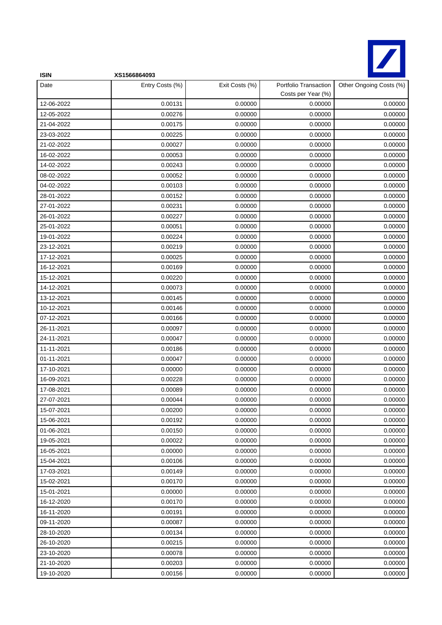

| <b>ISIN</b> | XS1566864093    |                |                                             |                         |
|-------------|-----------------|----------------|---------------------------------------------|-------------------------|
| Date        | Entry Costs (%) | Exit Costs (%) | Portfolio Transaction<br>Costs per Year (%) | Other Ongoing Costs (%) |
| 12-06-2022  | 0.00131         | 0.00000        | 0.00000                                     | 0.00000                 |
| 12-05-2022  | 0.00276         | 0.00000        | 0.00000                                     | 0.00000                 |
| 21-04-2022  | 0.00175         | 0.00000        | 0.00000                                     | 0.00000                 |
| 23-03-2022  | 0.00225         | 0.00000        | 0.00000                                     | 0.00000                 |
| 21-02-2022  | 0.00027         | 0.00000        | 0.00000                                     | 0.00000                 |
| 16-02-2022  | 0.00053         | 0.00000        | 0.00000                                     | 0.00000                 |
| 14-02-2022  | 0.00243         | 0.00000        | 0.00000                                     | 0.00000                 |
| 08-02-2022  | 0.00052         | 0.00000        | 0.00000                                     | 0.00000                 |
| 04-02-2022  | 0.00103         | 0.00000        | 0.00000                                     | 0.00000                 |
| 28-01-2022  | 0.00152         | 0.00000        | 0.00000                                     | 0.00000                 |
| 27-01-2022  | 0.00231         | 0.00000        | 0.00000                                     | 0.00000                 |
| 26-01-2022  | 0.00227         | 0.00000        | 0.00000                                     | 0.00000                 |
| 25-01-2022  | 0.00051         | 0.00000        | 0.00000                                     | 0.00000                 |
| 19-01-2022  | 0.00224         | 0.00000        | 0.00000                                     | 0.00000                 |
| 23-12-2021  | 0.00219         | 0.00000        | 0.00000                                     | 0.00000                 |
| 17-12-2021  | 0.00025         | 0.00000        | 0.00000                                     | 0.00000                 |
| 16-12-2021  | 0.00169         | 0.00000        | 0.00000                                     | 0.00000                 |
| 15-12-2021  | 0.00220         | 0.00000        | 0.00000                                     | 0.00000                 |
| 14-12-2021  | 0.00073         | 0.00000        | 0.00000                                     | 0.00000                 |
| 13-12-2021  | 0.00145         | 0.00000        | 0.00000                                     | 0.00000                 |
| 10-12-2021  | 0.00146         | 0.00000        | 0.00000                                     | 0.00000                 |
| 07-12-2021  | 0.00166         | 0.00000        | 0.00000                                     | 0.00000                 |
| 26-11-2021  | 0.00097         | 0.00000        | 0.00000                                     | 0.00000                 |
| 24-11-2021  | 0.00047         | 0.00000        | 0.00000                                     | 0.00000                 |
| 11-11-2021  | 0.00186         | 0.00000        | 0.00000                                     | 0.00000                 |
| 01-11-2021  | 0.00047         | 0.00000        | 0.00000                                     | 0.00000                 |
| 17-10-2021  | 0.00000         | 0.00000        | 0.00000                                     | 0.00000                 |
| 16-09-2021  | 0.00228         | 0.00000        | 0.00000                                     | 0.00000                 |
| 17-08-2021  | 0.00089         | 0.00000        | 0.00000                                     | 0.00000                 |
| 27-07-2021  | 0.00044         | 0.00000        | 0.00000                                     | 0.00000                 |
| 15-07-2021  | 0.00200         | 0.00000        | 0.00000                                     | 0.00000                 |
| 15-06-2021  | 0.00192         | 0.00000        | 0.00000                                     | 0.00000                 |
| 01-06-2021  | 0.00150         | 0.00000        | 0.00000                                     | 0.00000                 |
| 19-05-2021  | 0.00022         | 0.00000        | 0.00000                                     | 0.00000                 |
| 16-05-2021  | 0.00000         | 0.00000        | 0.00000                                     | 0.00000                 |
| 15-04-2021  | 0.00106         | 0.00000        | 0.00000                                     | 0.00000                 |
| 17-03-2021  | 0.00149         | 0.00000        | 0.00000                                     | 0.00000                 |
| 15-02-2021  | 0.00170         | 0.00000        | 0.00000                                     | 0.00000                 |
| 15-01-2021  | 0.00000         | 0.00000        | 0.00000                                     | 0.00000                 |
| 16-12-2020  | 0.00170         | 0.00000        | 0.00000                                     | 0.00000                 |
| 16-11-2020  | 0.00191         | 0.00000        | 0.00000                                     | 0.00000                 |
| 09-11-2020  | 0.00087         | 0.00000        | 0.00000                                     | 0.00000                 |
| 28-10-2020  | 0.00134         | 0.00000        | 0.00000                                     | 0.00000                 |
| 26-10-2020  | 0.00215         | 0.00000        | 0.00000                                     | 0.00000                 |
| 23-10-2020  | 0.00078         | 0.00000        | 0.00000                                     | 0.00000                 |
| 21-10-2020  | 0.00203         | 0.00000        | 0.00000                                     | 0.00000                 |
| 19-10-2020  | 0.00156         | 0.00000        | 0.00000                                     | 0.00000                 |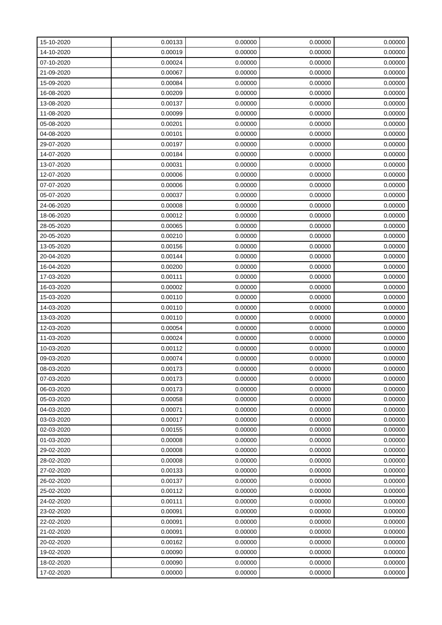| 15-10-2020 | 0.00133 | 0.00000 | 0.00000 | 0.00000 |
|------------|---------|---------|---------|---------|
| 14-10-2020 | 0.00019 | 0.00000 | 0.00000 | 0.00000 |
| 07-10-2020 | 0.00024 | 0.00000 | 0.00000 | 0.00000 |
| 21-09-2020 | 0.00067 | 0.00000 | 0.00000 | 0.00000 |
| 15-09-2020 | 0.00084 | 0.00000 | 0.00000 | 0.00000 |
| 16-08-2020 | 0.00209 | 0.00000 | 0.00000 | 0.00000 |
| 13-08-2020 | 0.00137 | 0.00000 | 0.00000 | 0.00000 |
| 11-08-2020 | 0.00099 | 0.00000 | 0.00000 | 0.00000 |
| 05-08-2020 | 0.00201 | 0.00000 | 0.00000 | 0.00000 |
| 04-08-2020 | 0.00101 | 0.00000 | 0.00000 | 0.00000 |
| 29-07-2020 | 0.00197 | 0.00000 | 0.00000 | 0.00000 |
| 14-07-2020 | 0.00184 | 0.00000 | 0.00000 | 0.00000 |
| 13-07-2020 | 0.00031 | 0.00000 | 0.00000 | 0.00000 |
| 12-07-2020 | 0.00006 | 0.00000 | 0.00000 | 0.00000 |
| 07-07-2020 | 0.00006 | 0.00000 | 0.00000 | 0.00000 |
| 05-07-2020 | 0.00037 | 0.00000 | 0.00000 | 0.00000 |
| 24-06-2020 | 0.00008 | 0.00000 | 0.00000 | 0.00000 |
| 18-06-2020 | 0.00012 | 0.00000 | 0.00000 | 0.00000 |
| 28-05-2020 | 0.00065 | 0.00000 | 0.00000 | 0.00000 |
| 20-05-2020 | 0.00210 | 0.00000 | 0.00000 | 0.00000 |
| 13-05-2020 | 0.00156 | 0.00000 | 0.00000 | 0.00000 |
| 20-04-2020 | 0.00144 | 0.00000 | 0.00000 | 0.00000 |
| 16-04-2020 | 0.00200 | 0.00000 | 0.00000 | 0.00000 |
| 17-03-2020 | 0.00111 | 0.00000 | 0.00000 | 0.00000 |
| 16-03-2020 | 0.00002 | 0.00000 | 0.00000 | 0.00000 |
| 15-03-2020 | 0.00110 | 0.00000 | 0.00000 | 0.00000 |
| 14-03-2020 | 0.00110 | 0.00000 | 0.00000 | 0.00000 |
| 13-03-2020 | 0.00110 | 0.00000 | 0.00000 | 0.00000 |
| 12-03-2020 | 0.00054 | 0.00000 | 0.00000 | 0.00000 |
| 11-03-2020 | 0.00024 | 0.00000 | 0.00000 | 0.00000 |
| 10-03-2020 | 0.00112 | 0.00000 | 0.00000 | 0.00000 |
| 09-03-2020 | 0.00074 | 0.00000 | 0.00000 | 0.00000 |
| 08-03-2020 | 0.00173 | 0.00000 | 0.00000 | 0.00000 |
| 07-03-2020 | 0.00173 | 0.00000 | 0.00000 | 0.00000 |
| 06-03-2020 | 0.00173 | 0.00000 | 0.00000 | 0.00000 |
| 05-03-2020 | 0.00058 | 0.00000 | 0.00000 | 0.00000 |
| 04-03-2020 | 0.00071 | 0.00000 | 0.00000 | 0.00000 |
| 03-03-2020 | 0.00017 | 0.00000 | 0.00000 | 0.00000 |
| 02-03-2020 | 0.00155 | 0.00000 | 0.00000 | 0.00000 |
| 01-03-2020 | 0.00008 | 0.00000 | 0.00000 | 0.00000 |
| 29-02-2020 | 0.00008 | 0.00000 | 0.00000 | 0.00000 |
| 28-02-2020 | 0.00008 | 0.00000 | 0.00000 | 0.00000 |
| 27-02-2020 | 0.00133 | 0.00000 | 0.00000 | 0.00000 |
| 26-02-2020 | 0.00137 | 0.00000 | 0.00000 | 0.00000 |
| 25-02-2020 | 0.00112 | 0.00000 | 0.00000 | 0.00000 |
| 24-02-2020 | 0.00111 | 0.00000 | 0.00000 | 0.00000 |
| 23-02-2020 | 0.00091 | 0.00000 | 0.00000 | 0.00000 |
| 22-02-2020 | 0.00091 | 0.00000 | 0.00000 | 0.00000 |
| 21-02-2020 | 0.00091 | 0.00000 | 0.00000 | 0.00000 |
| 20-02-2020 | 0.00162 | 0.00000 | 0.00000 | 0.00000 |
| 19-02-2020 | 0.00090 | 0.00000 | 0.00000 | 0.00000 |
| 18-02-2020 | 0.00090 | 0.00000 | 0.00000 | 0.00000 |
| 17-02-2020 | 0.00000 | 0.00000 | 0.00000 | 0.00000 |